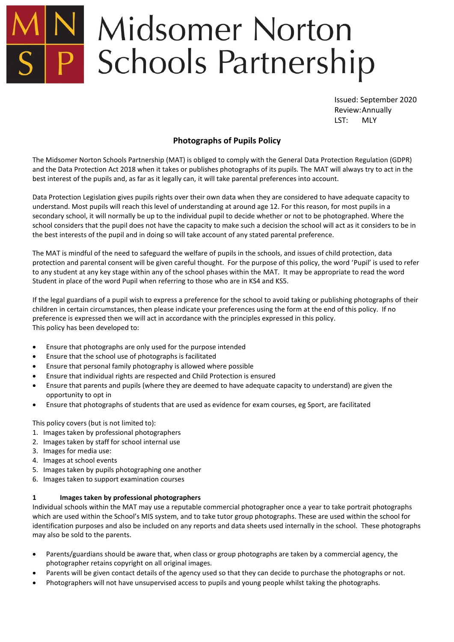# **Midsomer Norton** P Schools Partnership

Issued: September 2020 Review:Annually LST: MLY

# **Photographs of Pupils Policy**

The Midsomer Norton Schools Partnership (MAT) is obliged to comply with the General Data Protection Regulation (GDPR) and the Data Protection Act 2018 when it takes or publishes photographs of its pupils. The MAT will always try to act in the best interest of the pupils and, as far as it legally can, it will take parental preferences into account.

Data Protection Legislation gives pupils rights over their own data when they are considered to have adequate capacity to understand. Most pupils will reach this level of understanding at around age 12. For this reason, for most pupils in a secondary school, it will normally be up to the individual pupil to decide whether or not to be photographed. Where the school considers that the pupil does not have the capacity to make such a decision the school will act as it considers to be in the best interests of the pupil and in doing so will take account of any stated parental preference.

The MAT is mindful of the need to safeguard the welfare of pupils in the schools, and issues of child protection, data protection and parental consent will be given careful thought. For the purpose of this policy, the word 'Pupil' is used to refer to any student at any key stage within any of the school phases within the MAT. It may be appropriate to read the word Student in place of the word Pupil when referring to those who are in KS4 and KS5.

If the legal guardians of a pupil wish to express a preference for the school to avoid taking or publishing photographs of their children in certain circumstances, then please indicate your preferences using the form at the end of this policy. If no preference is expressed then we will act in accordance with the principles expressed in this policy. This policy has been developed to:

- Ensure that photographs are only used for the purpose intended
- Ensure that the school use of photographs is facilitated
- Ensure that personal family photography is allowed where possible
- Ensure that individual rights are respected and Child Protection is ensured
- Ensure that parents and pupils (where they are deemed to have adequate capacity to understand) are given the opportunity to opt in
- Ensure that photographs of students that are used as evidence for exam courses, eg Sport, are facilitated

This policy covers (but is not limited to):

- 1. Images taken by professional photographers
- 2. Images taken by staff for school internal use
- 3. Images for media use:
- 4. Images at school events
- 5. Images taken by pupils photographing one another
- 6. Images taken to support examination courses

# **1 Images taken by professional photographers**

Individual schools within the MAT may use a reputable commercial photographer once a year to take portrait photographs which are used within the School's MIS system, and to take tutor group photographs. These are used within the school for identification purposes and also be included on any reports and data sheets used internally in the school. These photographs may also be sold to the parents.

- Parents/guardians should be aware that, when class or group photographs are taken by a commercial agency, the photographer retains copyright on all original images.
- Parents will be given contact details of the agency used so that they can decide to purchase the photographs or not.
- Photographers will not have unsupervised access to pupils and young people whilst taking the photographs.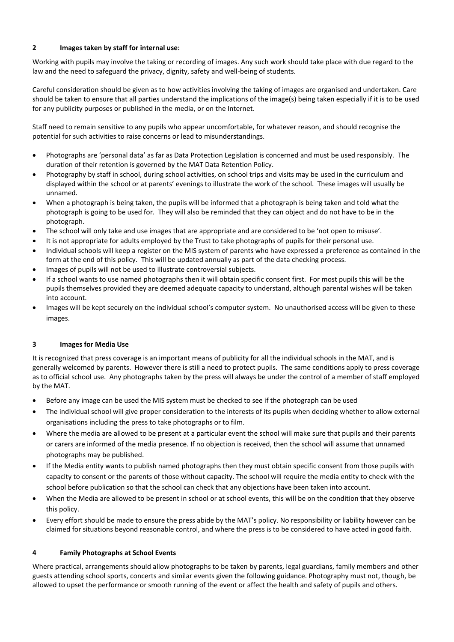#### **2 Images taken by staff for internal use:**

Working with pupils may involve the taking or recording of images. Any such work should take place with due regard to the law and the need to safeguard the privacy, dignity, safety and well-being of students.

Careful consideration should be given as to how activities involving the taking of images are organised and undertaken. Care should be taken to ensure that all parties understand the implications of the image(s) being taken especially if it is to be used for any publicity purposes or published in the media, or on the Internet.

Staff need to remain sensitive to any pupils who appear uncomfortable, for whatever reason, and should recognise the potential for such activities to raise concerns or lead to misunderstandings.

- Photographs are 'personal data' as far as Data Protection Legislation is concerned and must be used responsibly. The duration of their retention is governed by the MAT Data Retention Policy.
- Photography by staff in school, during school activities, on school trips and visits may be used in the curriculum and displayed within the school or at parents' evenings to illustrate the work of the school. These images will usually be unnamed.
- When a photograph is being taken, the pupils will be informed that a photograph is being taken and told what the photograph is going to be used for. They will also be reminded that they can object and do not have to be in the photograph.
- The school will only take and use images that are appropriate and are considered to be 'not open to misuse'.
- It is not appropriate for adults employed by the Trust to take photographs of pupils for their personal use.
- Individual schools will keep a register on the MIS system of parents who have expressed a preference as contained in the form at the end of this policy. This will be updated annually as part of the data checking process.
- Images of pupils will not be used to illustrate controversial subjects.
- If a school wants to use named photographs then it will obtain specific consent first. For most pupils this will be the pupils themselves provided they are deemed adequate capacity to understand, although parental wishes will be taken into account.
- Images will be kept securely on the individual school's computer system. No unauthorised access will be given to these images.

# **3 Images for Media Use**

It is recognized that press coverage is an important means of publicity for all the individual schools in the MAT, and is generally welcomed by parents. However there is still a need to protect pupils. The same conditions apply to press coverage as to official school use. Any photographs taken by the press will always be under the control of a member of staff employed by the MAT.

- Before any image can be used the MIS system must be checked to see if the photograph can be used
- The individual school will give proper consideration to the interests of its pupils when deciding whether to allow external organisations including the press to take photographs or to film.
- Where the media are allowed to be present at a particular event the school will make sure that pupils and their parents or carers are informed of the media presence. If no objection is received, then the school will assume that unnamed photographs may be published.
- If the Media entity wants to publish named photographs then they must obtain specific consent from those pupils with capacity to consent or the parents of those without capacity. The school will require the media entity to check with the school before publication so that the school can check that any objections have been taken into account.
- When the Media are allowed to be present in school or at school events, this will be on the condition that they observe this policy.
- Every effort should be made to ensure the press abide by the MAT's policy. No responsibility or liability however can be claimed for situations beyond reasonable control, and where the press is to be considered to have acted in good faith.

# **4 Family Photographs at School Events**

Where practical, arrangements should allow photographs to be taken by parents, legal guardians, family members and other guests attending school sports, concerts and similar events given the following guidance. Photography must not, though, be allowed to upset the performance or smooth running of the event or affect the health and safety of pupils and others.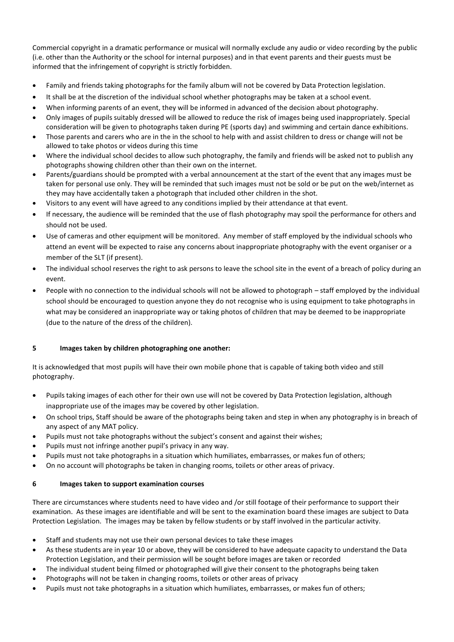Commercial copyright in a dramatic performance or musical will normally exclude any audio or video recording by the public (i.e. other than the Authority or the school for internal purposes) and in that event parents and their guests must be informed that the infringement of copyright is strictly forbidden.

- Family and friends taking photographs for the family album will not be covered by Data Protection legislation.
- It shall be at the discretion of the individual school whether photographs may be taken at a school event.
- When informing parents of an event, they will be informed in advanced of the decision about photography.
- Only images of pupils suitably dressed will be allowed to reduce the risk of images being used inappropriately. Special consideration will be given to photographs taken during PE (sports day) and swimming and certain dance exhibitions.
- Those parents and carers who are in the in the school to help with and assist children to dress or change will not be allowed to take photos or videos during this time
- Where the individual school decides to allow such photography, the family and friends will be asked not to publish any photographs showing children other than their own on the internet.
- Parents/guardians should be prompted with a verbal announcement at the start of the event that any images must be taken for personal use only. They will be reminded that such images must not be sold or be put on the web/internet as they may have accidentally taken a photograph that included other children in the shot.
- Visitors to any event will have agreed to any conditions implied by their attendance at that event.
- If necessary, the audience will be reminded that the use of flash photography may spoil the performance for others and should not be used.
- Use of cameras and other equipment will be monitored. Any member of staff employed by the individual schools who attend an event will be expected to raise any concerns about inappropriate photography with the event organiser or a member of the SLT (if present).
- The individual school reserves the right to ask persons to leave the school site in the event of a breach of policy during an event.
- People with no connection to the individual schools will not be allowed to photograph staff employed by the individual school should be encouraged to question anyone they do not recognise who is using equipment to take photographs in what may be considered an inappropriate way or taking photos of children that may be deemed to be inappropriate (due to the nature of the dress of the children).

# **5 Images taken by children photographing one another:**

It is acknowledged that most pupils will have their own mobile phone that is capable of taking both video and still photography.

- Pupils taking images of each other for their own use will not be covered by Data Protection legislation, although inappropriate use of the images may be covered by other legislation.
- On school trips, Staff should be aware of the photographs being taken and step in when any photography is in breach of any aspect of any MAT policy.
- Pupils must not take photographs without the subject's consent and against their wishes;
- Pupils must not infringe another pupil's privacy in any way.
- Pupils must not take photographs in a situation which humiliates, embarrasses, or makes fun of others;
- On no account will photographs be taken in changing rooms, toilets or other areas of privacy.

#### **6 Images taken to support examination courses**

There are circumstances where students need to have video and /or still footage of their performance to support their examination. As these images are identifiable and will be sent to the examination board these images are subject to Data Protection Legislation. The images may be taken by fellow students or by staff involved in the particular activity.

- Staff and students may not use their own personal devices to take these images
- As these students are in year 10 or above, they will be considered to have adequate capacity to understand the Data Protection Legislation, and their permission will be sought before images are taken or recorded
- The individual student being filmed or photographed will give their consent to the photographs being taken
- Photographs will not be taken in changing rooms, toilets or other areas of privacy
- Pupils must not take photographs in a situation which humiliates, embarrasses, or makes fun of others;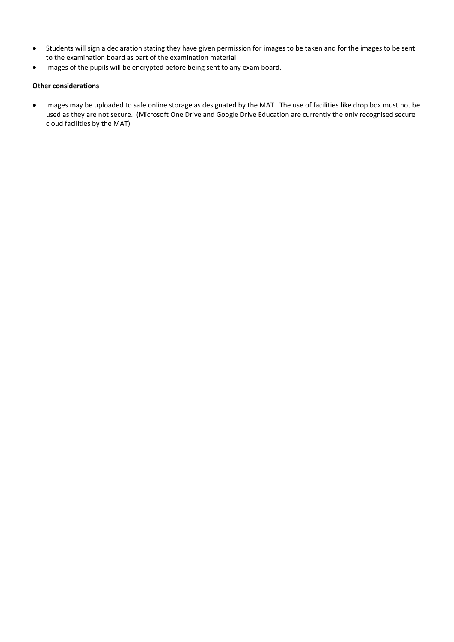- Students will sign a declaration stating they have given permission for images to be taken and for the images to be sent to the examination board as part of the examination material
- Images of the pupils will be encrypted before being sent to any exam board.

#### **Other considerations**

 Images may be uploaded to safe online storage as designated by the MAT. The use of facilities like drop box must not be used as they are not secure. (Microsoft One Drive and Google Drive Education are currently the only recognised secure cloud facilities by the MAT)